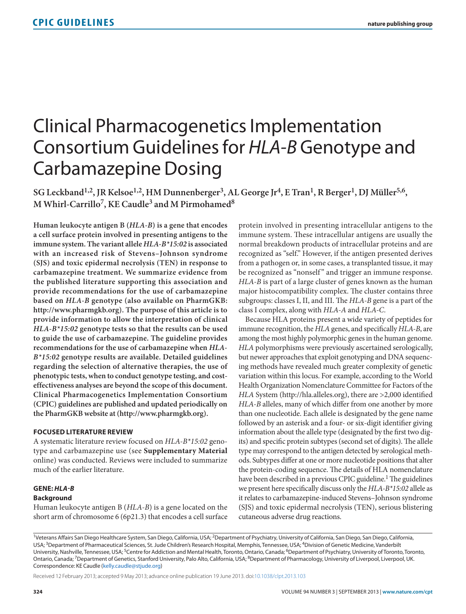# Clinical Pharmacogenetics Implementation Consortium Guidelines for *HLA-B* Genotype and Carbamazepine Dosing

SG Leckband<sup>1,2</sup>, JR Kelsoe<sup>1,2</sup>, HM Dunnenberger<sup>3</sup>, AL George Jr<sup>4</sup>, E Tran<sup>1</sup>, R Berger<sup>1</sup>, DJ Müller<sup>5,6</sup>, **M Whirl-Carrillo7, KE Caudle3 and M Pirmohamed8**

**Human leukocyte antigen B (***HLA-B***) is a gene that encodes a cell surface protein involved in presenting antigens to the immune system. The variant allele** *HLA-B\*15:02* **is associated with an increased risk of Stevens–Johnson syndrome (SJS) and toxic epidermal necrolysis (TEN) in response to carbamazepine treatment. We summarize evidence from the published literature supporting this association and provide recommendations for the use of carbamazepine based on** *HLA-B* **genotype (also available on PharmGKB: [http://www.pharmgkb.org\)](http://www.pharmgkb.org). The purpose of this article is to provide information to allow the interpretation of clinical**  *HLA-B\*15:02* **genotype tests so that the results can be used to guide the use of carbamazepine. The guideline provides recommendations for the use of carbamazepine when** *HLA-B\*15:02* **genotype results are available. Detailed guidelines regarding the selection of alternative therapies, the use of phenotypic tests, when to conduct genotype testing, and costeffectiveness analyses are beyond the scope of this document. Clinical Pharmacogenetics Implementation Consortium (CPIC) guidelines are published and updated periodically on the PharmGKB website at [\(http://www.pharmgkb.org\)]((http://www.pharmgkb.org).**

## **Focused Literature Review**

A systematic literature review focused on *HLA-B\*15:02* genotype and carbamazepine use (see **Supplementary Material**  online) was conducted. Reviews were included to summarize much of the earlier literature.

## **Gene:** *HLA-B*

## **Background**

Human leukocyte antigen B (*HLA-B*) is a gene located on the short arm of chromosome 6 (6p21.3) that encodes a cell surface

protein involved in presenting intracellular antigens to the immune system. These intracellular antigens are usually the normal breakdown products of intracellular proteins and are recognized as "self." However, if the antigen presented derives from a pathogen or, in some cases, a transplanted tissue, it may be recognized as "nonself" and trigger an immune response. *HLA-B* is part of a large cluster of genes known as the human major histocompatibility complex. The cluster contains three subgroups: classes I, II, and III. The *HLA-B* gene is a part of the class I complex, along with *HLA-A* and *HLA-C*.

Because HLA proteins present a wide variety of peptides for immune recognition, the *HLA* genes, and specifically *HLA-B*, are among the most highly polymorphic genes in the human genome. *HLA* polymorphisms were previously ascertained serologically, but newer approaches that exploit genotyping and DNA sequencing methods have revealed much greater complexity of genetic variation within this locus. For example, according to the World Health Organization Nomenclature Committee for Factors of the *HLA* System (<http://hla.alleles.org>), there are >2,000 identified *HLA-B* alleles, many of which differ from one another by more than one nucleotide. Each allele is designated by the gene name followed by an asterisk and a four- or six-digit identifier giving information about the allele type (designated by the first two digits) and specific protein subtypes (second set of digits). The allele type may correspond to the antigen detected by serological methods. Subtypes differ at one or more nucleotide positions that alter the protein-coding sequence. The details of HLA nomenclature have been described in a previous CPIC guideline.<sup>1</sup> The guidelines we present here specifically discuss only the *HLA-B\*15:02* allele as it relates to carbamazepine-induced Stevens–Johnson syndrome (SJS) and toxic epidermal necrolysis (TEN), serious blistering cutaneous adverse drug reactions.

Received 12 February 2013; accepted 9 May 2013; advance online publication 19 June 2013. doi[:10.1038/clpt.2013.103](http://www.nature.com/doifinder/10.1038/clpt.2013.103)

<sup>&</sup>lt;sup>1</sup>Veterans Affairs San Diego Healthcare System, San Diego, California, USA; <sup>2</sup>Department of Psychiatry, University of California, San Diego, San Diego, California, USA; <sup>3</sup>Department of Pharmaceutical Sciences, St. Jude Children's Research Hospital, Memphis, Tennessee, USA; <sup>4</sup>Division of Genetic Medicine, Vanderbilt University, Nashville, Tennessee, USA; <sup>5</sup>Centre for Addiction and Mental Health, Toronto, Ontario, Canada; <sup>6</sup>Department of Psychiatry, University of Toronto, Toronto, Ontario, Canada; <sup>7</sup>Department of Genetics, Stanford University, Palo Alto, California, USA; <sup>8</sup>Department of Pharmacology, University of Liverpool, Liverpool, UK. Correspondence: KE Caudle [\(kelly.caudle@stjude.org\)](mailto:kelly.caudle@stjude.org)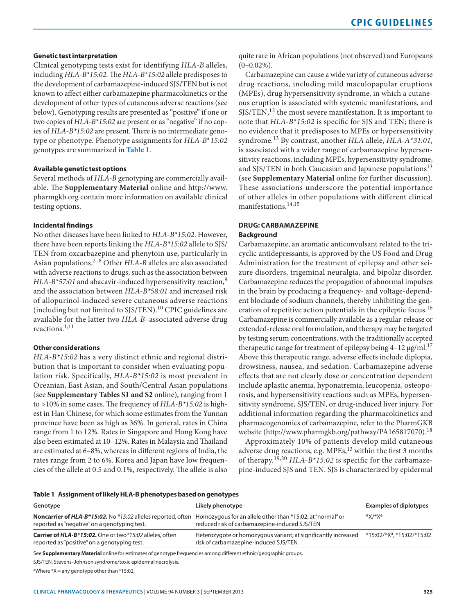## **Genetic test interpretation**

Clinical genotyping tests exist for identifying *HLA-B* alleles, including *HLA-B\*15:02*. The *HLA-B\*15:02* allele predisposes to the development of carbamazepine-induced SJS/TEN but is not known to affect either carbamazepine pharmacokinetics or the development of other types of cutaneous adverse reactions (see below). Genotyping results are presented as "positive" if one or two copies of *HLA-B\*15:02* are present or as "negative" if no copies of *HLA-B\*15:02* are present. There is no intermediate genotype or phenotype. Phenotype assignments for *HLA-B*\**15:02* genotypes are summarized in **[Table 1](#page-1-0)**.

## **Available genetic test options**

Several methods of *HLA-B* genotyping are commercially available. The **Supplementary Material** online and [http://www.](http://www.pharmgkb.org) [pharmgkb.org](http://www.pharmgkb.org) contain more information on available clinical testing options.

## **Incidental findings**

No other diseases have been linked to *HLA-B\*15:02*. However, there have been reports linking the *HLA-B\*15:02* allele to SJS/ TEN from oxcarbazepine and phenytoin use, particularly in Asian populations.2–8 Other *HLA-B* alleles are also associated with adverse reactions to drugs, such as the association between *HLA-B\*57:01* and abacavir-induced hypersensitivity reaction,<sup>9</sup> and the association between *HLA-B\*58:01* and increased risk of allopurinol-induced severe cutaneous adverse reactions (including but not limited to SJS/TEN).10 CPIC guidelines are available for the latter two *HLA-B*–associated adverse drug reactions.1,11

## **Other considerations**

*HLA-B\*15:02* has a very distinct ethnic and regional distribution that is important to consider when evaluating population risk. Specifically, *HLA-B\*15:02* is most prevalent in Oceanian, East Asian, and South/Central Asian populations (see **Supplementary Tables S1 and S2** online), ranging from 1 to >10% in some cases. The frequency of *HLA-B\*15:02* is highest in Han Chinese, for which some estimates from the Yunnan province have been as high as 36%. In general, rates in China range from 1 to 12%. Rates in Singapore and Hong Kong have also been estimated at 10–12%. Rates in Malaysia and Thailand are estimated at 6–8%, whereas in different regions of India, the rates range from 2 to 6%. Korea and Japan have low frequencies of the allele at 0.5 and 0.1%, respectively. The allele is also quite rare in African populations (not observed) and Europeans  $(0-0.02\%)$ .

Carbamazepine can cause a wide variety of cutaneous adverse drug reactions, including mild maculopapular eruptions (MPEs), drug hypersensitivity syndrome, in which a cutaneous eruption is associated with systemic manifestations, and  $S$ JS/TEN,<sup>12</sup> the most severe manifestation. It is important to note that *HLA-B\*15:02* is specific for SJS and TEN; there is no evidence that it predisposes to MPEs or hypersensitivity syndrome.13 By contrast, another *HLA* allele, *HLA-A\*31:01*, is associated with a wider range of carbamazepine hypersensitivity reactions, including MPEs, hypersensitivity syndrome, and SJS/TEN in both Caucasian and Japanese populations<sup>13</sup> (see **Supplementary Material** online for further discussion). These associations underscore the potential importance of other alleles in other populations with different clinical manifestations.14,15

## **Drug: Carbamazepine**

## **Background**

Carbamazepine, an aromatic anticonvulsant related to the tricyclic antidepressants, is approved by the US Food and Drug Administration for the treatment of epilepsy and other seizure disorders, trigeminal neuralgia, and bipolar disorder. Carbamazepine reduces the propagation of abnormal impulses in the brain by producing a frequency- and voltage-dependent blockade of sodium channels, thereby inhibiting the generation of repetitive action potentials in the epileptic focus.<sup>16</sup> Carbamazepine is commercially available as a regular-release or extended-release oral formulation, and therapy may be targeted by testing serum concentrations, with the traditionally accepted therapeutic range for treatment of epilepsy being  $4-12 \mu g/ml$ .<sup>17</sup> Above this therapeutic range, adverse effects include diplopia, drowsiness, nausea, and sedation. Carbamazepine adverse effects that are not clearly dose or concentration dependent include aplastic anemia, hyponatremia, leucopenia, osteoporosis, and hypersensitivity reactions such as MPEs, hypersensitivity syndrome, SJS/TEN, or drug-induced liver injury. For additional information regarding the pharmacokinetics and pharmacogenomics of carbamazepine, refer to the PharmGKB website [\(http://www.pharmgkb.org/pathway/PA165817070](http://www.pharmgkb.org/pathway/PA165817070)).<sup>18</sup>

Approximately 10% of patients develop mild cutaneous adverse drug reactions, e.g. MPEs,<sup>13</sup> within the first 3 months of therapy.19,20 *HLA-B\*15:02* is specific for the carbamazepine-induced SJS and TEN. SJS is characterized by epidermal

#### <span id="page-1-0"></span>**Table 1 Assignment of likely HLA-B phenotypes based on genotypes**

| Genotype                                                                                                                                                                       | Likely phenotype                                                                                        | <b>Examples of diplotypes</b>          |
|--------------------------------------------------------------------------------------------------------------------------------------------------------------------------------|---------------------------------------------------------------------------------------------------------|----------------------------------------|
| <b>Noncarrier of HLA-B*15:02.</b> No *15:02 alleles reported, often Homozyqous for an allele other than *15:02; at "normal" or<br>reported as "negative" on a genotyping test. | reduced risk of carbamazepine-induced SJS/TEN                                                           | *Х/*Хa                                 |
| <b>Carrier of HLA-B*15:02.</b> One or two*15:02 alleles, often<br>reported as "positive" on a genotyping test.                                                                 | Heterozygote or homozygous variant; at significantly increased<br>risk of carbamazepine-induced SJS/TEN | *15:02/*X <sup>a</sup> , *15:02/*15:02 |

See **Supplementary Material** online for estimates of genotype frequencies among different ethnic/geographic groups.

SJS/TEN, Stevens–Johnson syndrome/toxic epidermal necrolysis.

aWhere  $*X =$  any genotype other than  $*15:02$ .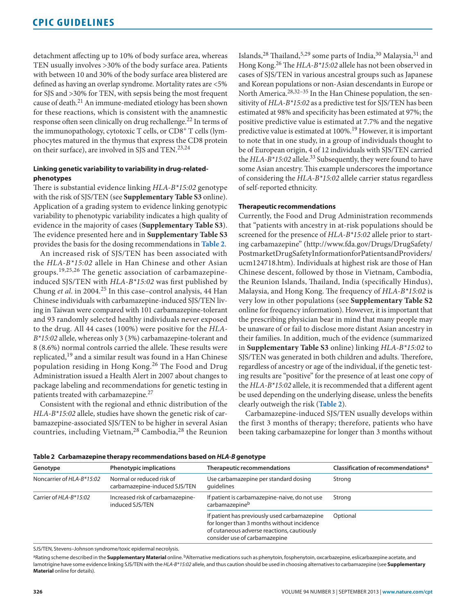detachment affecting up to 10% of body surface area, whereas TEN usually involves >30% of the body surface area. Patients with between 10 and 30% of the body surface area blistered are defined as having an overlap syndrome. Mortality rates are <5% for SJS and >30% for TEN, with sepsis being the most frequent cause of death.21 An immune-mediated etiology has been shown for these reactions, which is consistent with the anamnestic response often seen clinically on drug rechallenge.<sup>22</sup> In terms of the immunopathology, cytotoxic T cells, or CD8+ T cells (lymphocytes matured in the thymus that express the CD8 protein on their surface), are involved in SJS and TEN.<sup>23,24</sup>

## **Linking genetic variability to variability in drug-relatedphenotypes**

There is substantial evidence linking *HLA-B\*15:02* genotype with the risk of SJS/TEN (see **Supplementary Table S3** online). Application of a grading system to evidence linking genotypic variability to phenotypic variability indicates a high quality of evidence in the majority of cases (**Supplementary Table S3**). The evidence presented here and in **Supplementary Table S3** provides the basis for the dosing recommendations in **[Table 2](#page-2-0)**.

An increased risk of SJS/TEN has been associated with the *HLA-B\*15:02* allele in Han Chinese and other Asian groups.19,25,26 The genetic association of carbamazepineinduced SJS/TEN with *HLA-B\*15:02* was first published by Chung *et al*. in 2004.25 In this case–control analysis, 44 Han Chinese individuals with carbamazepine-induced SJS/TEN living in Taiwan were compared with 101 carbamazepine-tolerant and 93 randomly selected healthy individuals never exposed to the drug. All 44 cases (100%) were positive for the *HLA-B\*15:02* allele, whereas only 3 (3%) carbamazepine-tolerant and 8 (8.6%) normal controls carried the allele. These results were replicated,<sup>19</sup> and a similar result was found in a Han Chinese population residing in Hong Kong.26 The Food and Drug Administration issued a Health Alert in 2007 about changes to package labeling and recommendations for genetic testing in patients treated with carbamazepine.<sup>27</sup>

Consistent with the regional and ethnic distribution of the *HLA-B\*15:02* allele, studies have shown the genetic risk of carbamazepine-associated SJS/TEN to be higher in several Asian countries, including Vietnam,<sup>28</sup> Cambodia,<sup>28</sup> the Reunion Islands,28 Thailand,5,29 some parts of India,30 Malaysia,31 and Hong Kong.26 The *HLA-B\*15:02* allele has not been observed in cases of SJS/TEN in various ancestral groups such as Japanese and Korean populations or non-Asian descendants in Europe or North America.<sup>28,32-35</sup> In the Han Chinese population, the sensitivity of *HLA-B\*15:02* as a predictive test for SJS/TEN has been estimated at 98% and specificity has been estimated at 97%; the positive predictive value is estimated at 7.7% and the negative predictive value is estimated at 100%.<sup>19</sup> However, it is important to note that in one study, in a group of individuals thought to be of European origin, 4 of 12 individuals with SJS/TEN carried the *HLA-B\*15:02* allele.<sup>33</sup> Subsequently, they were found to have some Asian ancestry. This example underscores the importance of considering the *HLA-B\*15:02* allele carrier status regardless of self-reported ethnicity.

## **Therapeutic recommendations**

Currently, the Food and Drug Administration recommends that "patients with ancestry in at-risk populations should be screened for the presence of *HLA-B\*15:02* allele prior to starting carbamazepine" ([http://www.fda.gov/Drugs/DrugSafety/](http://www.fda.gov/Drugs/DrugSafety/PostmarketDrugSafetyInformationforPatientsandProviders/ucm124718.htm) [PostmarketDrugSafetyInformationforPatientsandProviders/](http://www.fda.gov/Drugs/DrugSafety/PostmarketDrugSafetyInformationforPatientsandProviders/ucm124718.htm) [ucm124718.htm](http://www.fda.gov/Drugs/DrugSafety/PostmarketDrugSafetyInformationforPatientsandProviders/ucm124718.htm)). Individuals at highest risk are those of Han Chinese descent, followed by those in Vietnam, Cambodia, the Reunion Islands, Thailand, India (specifically Hindus), Malaysia, and Hong Kong. The frequency of *HLA-B\*15:02* is very low in other populations (see **Supplementary Table S2** online for frequency information). However, it is important that the prescribing physician bear in mind that many people may be unaware of or fail to disclose more distant Asian ancestry in their families. In addition, much of the evidence (summarized in **Supplementary Table S3** online) linking *HLA-B\*15:02* to SJS/TEN was generated in both children and adults. Therefore, regardless of ancestry or age of the individual, if the genetic testing results are "positive" for the presence of at least one copy of the *HLA-B\*15:02* allele, it is recommended that a different agent be used depending on the underlying disease, unless the benefits clearly outweigh the risk (**[Table 2](#page-2-0)**).

Carbamazepine-induced SJS/TEN usually develops within the first 3 months of therapy; therefore, patients who have been taking carbamazepine for longer than 3 months without

| Genotype                  | Phenotypic implications                                    | Therapeutic recommendations                                                                                                                                               | Classification of recommendations <sup>a</sup> |
|---------------------------|------------------------------------------------------------|---------------------------------------------------------------------------------------------------------------------------------------------------------------------------|------------------------------------------------|
| Noncarrier of HLA-B*15:02 | Normal or reduced risk of<br>carbamazepine-induced SJS/TEN | Use carbamazepine per standard dosing<br>quidelines                                                                                                                       | Strong                                         |
| Carrier of HLA-B*15:02    | Increased risk of carbamazepine-<br>induced SJS/TEN        | If patient is carbamazepine-naive, do not use<br>carbamazepineb                                                                                                           | Strong                                         |
|                           |                                                            | If patient has previously used carbamazepine<br>for longer than 3 months without incidence<br>of cutaneous adverse reactions, cautiously<br>consider use of carbamazepine | Optional                                       |

<span id="page-2-0"></span>**Table 2 Carbamazepine therapy recommendations based on** *HLA-B* **genotype**

SJS/TEN, Stevens–Johnson syndrome/toxic epidermal necrolysis.

aRating scheme described in the **Supplementary Material** online. <sup>b</sup>Alternative medications such as phenytoin, fosphenytoin, oxcarbazepine, eslicarbazepine acetate, and lamotrigine have some evidence linking SJS/TEN with the *HLA-B\*15:02* allele, and thus caution should be used in choosing alternatives to carbamazepine (see **Supplementary Material** online for details).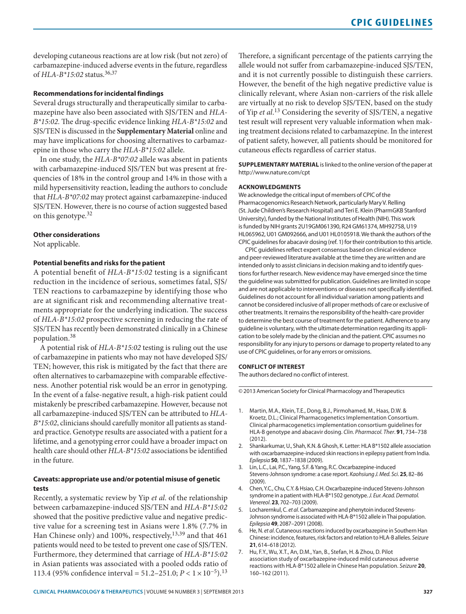developing cutaneous reactions are at low risk (but not zero) of carbamazepine-induced adverse events in the future, regardless of *HLA-B\*15:02* status.36,37

## **Recommendations for incidental findings**

Several drugs structurally and therapeutically similar to carbamazepine have also been associated with SJS/TEN and *HLA-B\*15:02*. The drug-specific evidence linking *HLA-B\*15:02* and SJS/TEN is discussed in the **Supplementary Material** online and may have implications for choosing alternatives to carbamazepine in those who carry the *HLA-B\*15:02* allele.

In one study, the *HLA-B\*07:02* allele was absent in patients with carbamazepine-induced SJS/TEN but was present at frequencies of 18% in the control group and 14% in those with a mild hypersensitivity reaction, leading the authors to conclude that *HLA-B\*07:02* may protect against carbamazepine-induced SJS/TEN. However, there is no course of action suggested based on this genotype.<sup>32</sup>

## **Other considerations**

Not applicable.

## **Potential benefits and risks for the patient**

A potential benefit of *HLA-B\*15:02* testing is a significant reduction in the incidence of serious, sometimes fatal, SJS/ TEN reactions to carbamazepine by identifying those who are at significant risk and recommending alternative treatments appropriate for the underlying indication. The success of *HLA-B\*15:02* prospective screening in reducing the rate of SJS/TEN has recently been demonstrated clinically in a Chinese population.<sup>38</sup>

A potential risk of *HLA-B\*15:02* testing is ruling out the use of carbamazepine in patients who may not have developed SJS/ TEN; however, this risk is mitigated by the fact that there are often alternatives to carbamazepine with comparable effectiveness. Another potential risk would be an error in genotyping. In the event of a false-negative result, a high-risk patient could mistakenly be prescribed carbamazepine. However, because not all carbamazepine-induced SJS/TEN can be attributed to *HLA-B\*15:02*, clinicians should carefully monitor all patients as standard practice. Genotype results are associated with a patient for a lifetime, and a genotyping error could have a broader impact on health care should other *HLA-B\*15:02* associations be identified in the future.

## **Caveats: appropriate use and/or potential misuse of genetic tests**

Recently, a systematic review by Yip *et al.* of the relationship between carbamazepine-induced SJS/TEN and *HLA-B\*15:02* showed that the positive predictive value and negative predictive value for a screening test in Asians were 1.8% (7.7% in Han Chinese only) and 100%, respectively,<sup>13,39</sup> and that 461 patients would need to be tested to prevent one case of SJS/TEN. Furthermore, they determined that carriage of *HLA-B\*15:02* in Asian patients was associated with a pooled odds ratio of 113.4 (95% confidence interval = 51.2–251.0; *P* < 1×10−5).13 Therefore, a significant percentage of the patients carrying the allele would not suffer from carbamazepine-induced SJS/TEN, and it is not currently possible to distinguish these carriers. However, the benefit of the high negative predictive value is clinically relevant, where Asian non-carriers of the risk allele are virtually at no risk to develop SJS/TEN, based on the study of Yip *et al*. 13 Considering the severity of SJS/TEN, a negative test result will represent very valuable information when making treatment decisions related to carbamazepine. In the interest of patient safety, however, all patients should be monitored for cutaneous effects regardless of carrier status.

**SUPPLEMENTARY MATERIAL** is linked to the online version of the paper at <http://www.nature.com/cpt>

#### **ACKNOWLEDGMENTS**

We acknowledge the critical input of members of CPIC of the Pharmacogenomics Research Network, particularly Mary V. Relling (St. Jude Children's Research Hospital) and Teri E. Klein (PharmGKB Stanford University), funded by the National Institutes of Health (NIH). This work is funded by NIH grants 2U19GM061390, R24 GM61374, MH92758, U19 HL065962, U01 GM092666, and U01 HL0105918. We thank the authors of the CPIC guidelines for abacavir dosing (ref. 1) for their contribution to this article.

CPIC guidelines reflect expert consensus based on clinical evidence and peer-reviewed literature available at the time they are written and are intended only to assist clinicians in decision making and to identify questions for further research. New evidence may have emerged since the time the guideline was submitted for publication. Guidelines are limited in scope and are not applicable to interventions or diseases not specifically identified. Guidelines do not account for all individual variation among patients and cannot be considered inclusive of all proper methods of care or exclusive of other treatments. It remains the responsibility of the health-care provider to determine the best course of treatment for the patient. Adherence to any guideline is voluntary, with the ultimate determination regarding its application to be solely made by the clinician and the patient. CPIC assumes no responsibility for any injury to persons or damage to property related to any use of CPIC guidelines, or for any errors or omissions.

#### **CONFLICT OF INTEREST**

The authors declared no conflict of interest.

© 2013 American Society for Clinical Pharmacology and Therapeutics

- 1. Martin, M.A., Klein, T.E., Dong, B.J., Pirmohamed, M., Haas, D.W. & Kroetz, D.L.; Clinical Pharmacogenetics Implementation Consortium. Clinical pharmacogenetics implementation consortium guidelines for HLA-B genotype and abacavir dosing. *Clin. Pharmacol. Ther*. **91**, 734–738 (2012).
- 2. Shankarkumar, U., Shah, K.N. & Ghosh, K. Letter: HLA B\*1502 allele association with oxcarbamazepine-induced skin reactions in epilepsy patient from India. *Epilepsia* **50**, 1837–1838 (2009).
- 3. Lin, L.C., Lai, P.C., Yang, S.F. & Yang, R.C. Oxcarbazepine-induced Stevens-Johnson syndrome: a case report. *Kaohsiung J. Med. Sci*. **25**, 82–86 (2009).
- 4. Chen, Y.C., Chu, C.Y. & Hsiao, C.H. Oxcarbazepine-induced Stevens-Johnson syndrome in a patient with HLA-B\*1502 genotype. *J. Eur. Acad. Dermatol. Venereol*. **23**, 702–703 (2009).
- 5. Locharernkul, C. *et al*. Carbamazepine and phenytoin induced Stevens-Johnson syndrome is associated with HLA-B\*1502 allele in Thai population. *Epilepsia* **49**, 2087–2091 (2008).
- 6. He, N. *et al*. Cutaneous reactions induced by oxcarbazepine in Southern Han Chinese: incidence, features, risk factors and relation to HLA-B alleles. *Seizure* **21**, 614–618 (2012).
- 7. Hu, F.Y., Wu, X.T., An, D.M., Yan, B., Stefan, H. & Zhou, D. Pilot association study of oxcarbazepine-induced mild cutaneous adverse reactions with HLA-B\*1502 allele in Chinese Han population. *Seizure* **20**, 160–162 (2011).